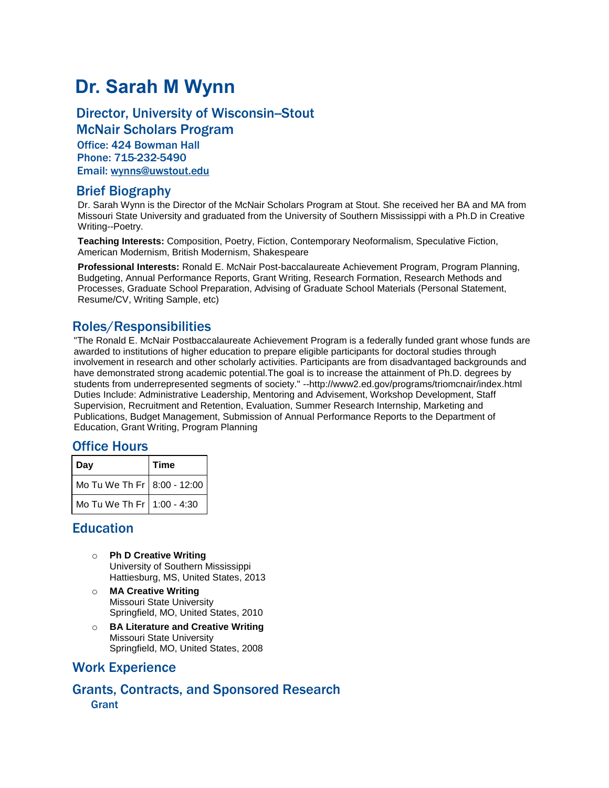# **Dr. Sarah M Wynn**

## Director, University of Wisconsin-Stout

McNair Scholars Program Office: 424 Bowman Hall Phone: 715-232-5490 Email: [wynns@uwstout.edu](mailto:wynns@uwstout.edu)

#### Brief Biography

Dr. Sarah Wynn is the Director of the McNair Scholars Program at Stout. She received her BA and MA from Missouri State University and graduated from the University of Southern Mississippi with a Ph.D in Creative Writing--Poetry.

**Teaching Interests:** Composition, Poetry, Fiction, Contemporary Neoformalism, Speculative Fiction, American Modernism, British Modernism, Shakespeare

**Professional Interests:** Ronald E. McNair Post-baccalaureate Achievement Program, Program Planning, Budgeting, Annual Performance Reports, Grant Writing, Research Formation, Research Methods and Processes, Graduate School Preparation, Advising of Graduate School Materials (Personal Statement, Resume/CV, Writing Sample, etc)

### Roles/Responsibilities

"The Ronald E. McNair Postbaccalaureate Achievement Program is a federally funded grant whose funds are awarded to institutions of higher education to prepare eligible participants for doctoral studies through involvement in research and other scholarly activities. Participants are from disadvantaged backgrounds and have demonstrated strong academic potential.The goal is to increase the attainment of Ph.D. degrees by students from underrepresented segments of society." --http://www2.ed.gov/programs/triomcnair/index.html Duties Include: Administrative Leadership, Mentoring and Advisement, Workshop Development, Staff Supervision, Recruitment and Retention, Evaluation, Summer Research Internship, Marketing and Publications, Budget Management, Submission of Annual Performance Reports to the Department of Education, Grant Writing, Program Planning

#### Office Hours

| ∣ Dav                         | <b>Time</b> |
|-------------------------------|-------------|
| Mo Tu We Th Fr   8:00 - 12:00 |             |
| Mo Tu We Th Fr 1:00 - 4:30    |             |

#### Education

- o **Ph D Creative Writing** University of Southern Mississippi Hattiesburg, MS, United States, 2013
- o **MA Creative Writing** Missouri State University Springfield, MO, United States, 2010
- o **BA Literature and Creative Writing** Missouri State University Springfield, MO, United States, 2008

#### Work Experience

Grants, Contracts, and Sponsored Research **Grant**